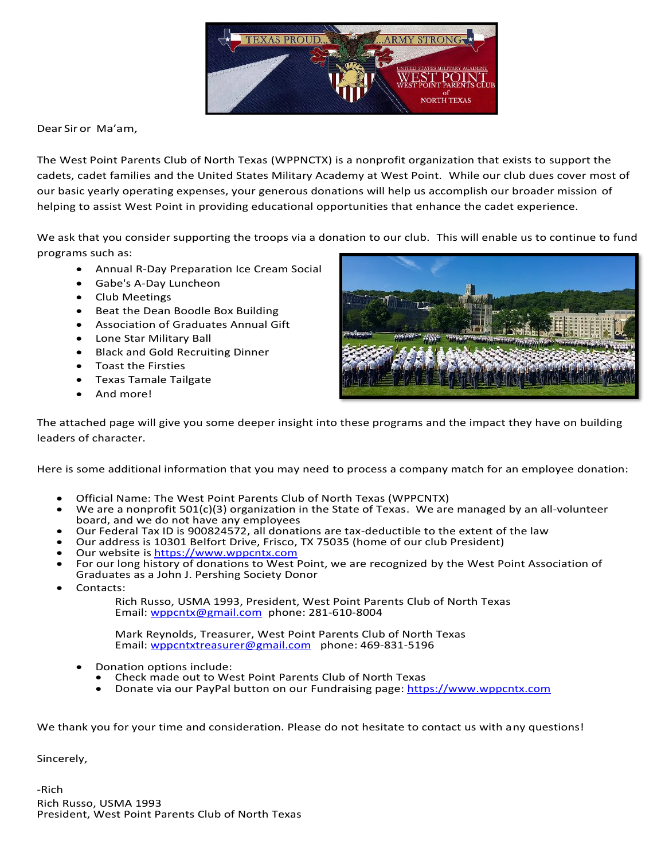

Dear Sir or Ma'am,

The West Point Parents Club of North Texas (WPPNCTX) is a nonprofit organization that exists to support the cadets, cadet families and the United States Military Academy at West Point. While our club dues cover most of our basic yearly operating expenses, your generous donations will help us accomplish our broader mission of helping to assist West Point in providing educational opportunities that enhance the cadet experience.

We ask that you consider supporting the troops via a donation to our club. This will enable us to continue to fund programs such as:

- Annual R-Day Preparation Ice Cream Social
- Gabe's A-Day Luncheon
- Club Meetings
- Beat the Dean Boodle Box Building
- Association of Graduates Annual Gift
- Lone Star Military Ball
- Black and Gold Recruiting Dinner
- Toast the Firsties
- Texas Tamale Tailgate
- And more!



The attached page will give you some deeper insight into these programs and the impact they have on building leaders of character.

Here is some additional information that you may need to process a company match for an employee donation:

- Official Name: The West Point Parents Club of North Texas (WPPCNTX)
- We are a nonprofit 501(c)(3) organization in the State of Texas. We are managed by an all-volunteer board, and we do not have any employees
- Our Federal Tax ID is 900824572, all donations are tax-deductible to the extent of the law
- Our address is 10301 Belfort Drive, Frisco, TX 75035 (home of our club President)
- Our website is [https://www.wppcntx.com](https://www.wppcntx.com/)
- For our long history of donations to West Point, we are recognized by the West Point Association of
- Graduates as a John J. Pershing Society Donor
- Contacts:

Rich Russo, USMA 1993, President, West Point Parents Club of North Texas Email: [wppcntx@gmail.com](mailto:wppcntx@gmail.com) phone: 281-610-8004

Mark Reynolds, Treasurer, West Point Parents Club of North Texas Email: [wppcntxtreasurer@gmail.com](mailto:wppcntxtreasurer@gmail.com) phone: 469-831-5196

- Donation options include:
	- Check made out to West Point Parents Club of North Texas
	- Donate via our PayPal button on our Fundraising page: [https://www.wppcntx.com](https://www.wppcntx.com/)

We thank you for your time and consideration. Please do not hesitate to contact us with any questions!

Sincerely,

-Rich Rich Russo, USMA 1993 President, West Point Parents Club of North Texas